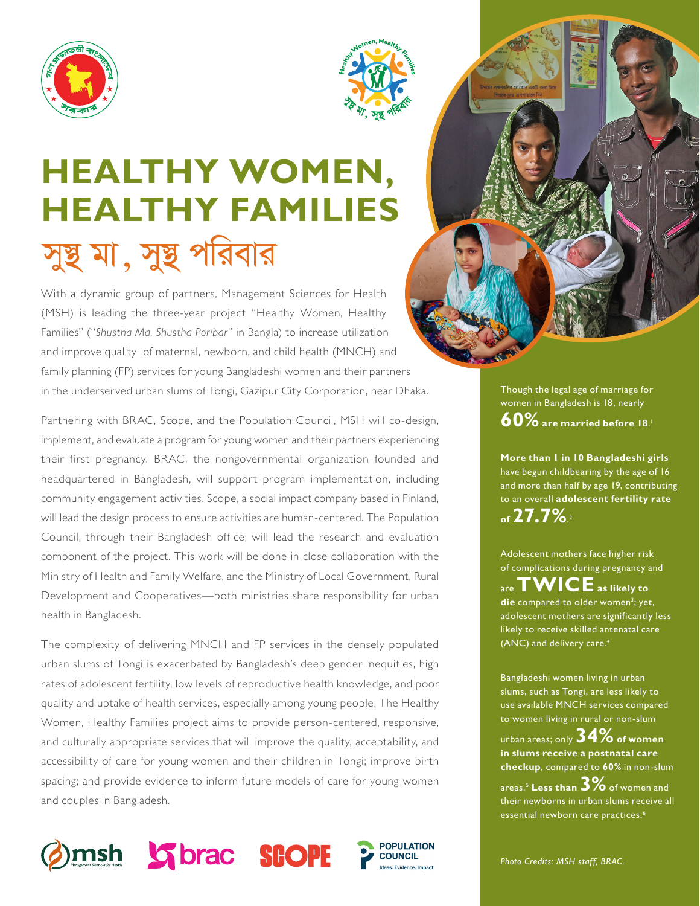



## **HEALTHY WOMEN, HEALTHY FAMILIES** সুষ্থ মা , সুস্থ পরিবার

With a dynamic group of partners, Management Sciences for Health (MSH) is leading the three-year project "Healthy Women, Healthy Families" ("*Shustha Ma, Shustha Poribar*" in Bangla) to increase utilization and improve quality of maternal, newborn, and child health (MNCH) and family planning (FP) services for young Bangladeshi women and their partners in the underserved urban slums of Tongi, Gazipur City Corporation, near Dhaka.

Partnering with BRAC, Scope, and the Population Council, MSH will co-design, implement, and evaluate a program for young women and their partners experiencing their first pregnancy. BRAC, the nongovernmental organization founded and headquartered in Bangladesh, will support program implementation, including community engagement activities. Scope, a social impact company based in Finland, will lead the design process to ensure activities are human-centered. The Population Council, through their Bangladesh office, will lead the research and evaluation component of the project. This work will be done in close collaboration with the Ministry of Health and Family Welfare, and the Ministry of Local Government, Rural Development and Cooperatives—both ministries share responsibility for urban health in Bangladesh.

The complexity of delivering MNCH and FP services in the densely populated urban slums of Tongi is exacerbated by Bangladesh's deep gender inequities, high rates of adolescent fertility, low levels of reproductive health knowledge, and poor quality and uptake of health services, especially among young people. The Healthy Women, Healthy Families project aims to provide person-centered, responsive, and culturally appropriate services that will improve the quality, acceptability, and accessibility of care for young women and their children in Tongi; improve birth spacing; and provide evidence to inform future models of care for young women and couples in Bangladesh.









Though the legal age of marriage for women in Bangladesh is 18, nearly  $\bm{60\%}$  are married before 18. $^{\mathrm{!}}$ 

**More than 1 in 10 Bangladeshi girls** have begun childbearing by the age of 16 and more than half by age 19, contributing to an overall **adolescent fertility rate of27.7%**. 2

Adolescent mothers face higher risk of complications during pregnancy and

are **TWICE as likely to**  die compared to older women<sup>3</sup>; yet, adolescent mothers are significantly less likely to receive skilled antenatal care (ANC) and delivery care.4

Bangladeshi women living in urban slums, such as Tongi, are less likely to use available MNCH services compared to women living in rural or non-slum urban areas; only **34% of women in slums receive a postnatal care checkup**, compared to **60%** in non-slum areas.5 **Less than 3%** of women and their newborns in urban slums receive all essential newborn care practices.<sup>6</sup>